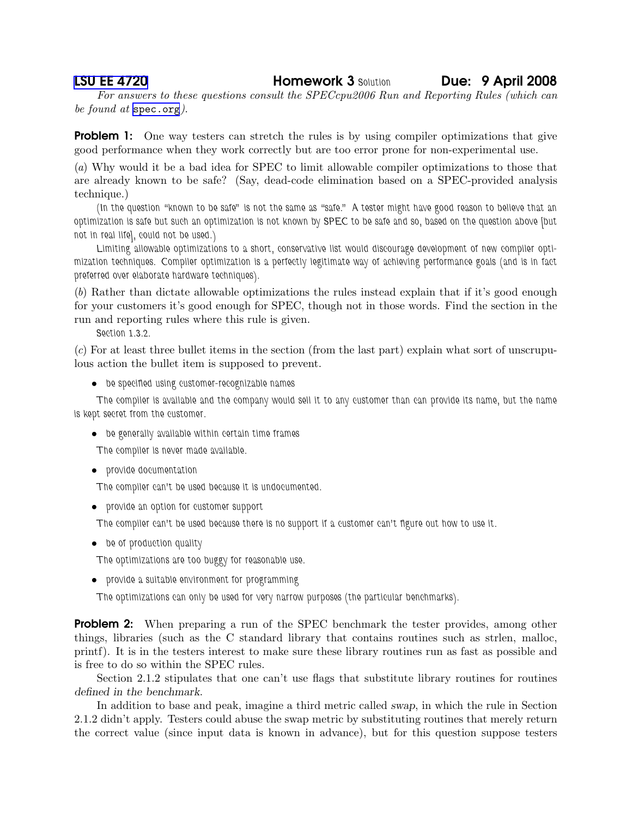[LSU EE 4720](http://www.ece.lsu.edu/ee4720/) Homework 3 Solution Due: 9 April 2008

For answers to these questions consult the SPECcpu2006 Run and Reporting Rules (which can be found at <spec.org>).

**Problem 1:** One way testers can stretch the rules is by using compiler optimizations that give good performance when they work correctly but are too error prone for non-experimental use.

(a) Why would it be a bad idea for SPEC to limit allowable compiler optimizations to those that are already known to be safe? (Say, dead-code elimination based on a SPEC-provided analysis technique.)

(In the question "known to be safe" is not the same as "safe." A tester might have good reason to believe that an optimization is safe but such an optimization is not known by SPEC to be safe and so, based on the question above [but not in real life], could not be used.)

Limiting allowable optimizations to a short, conservative list would discourage development of new compiler optimization techniques. Compiler optimization is a perfectly legitimate way of achieving performance goals (and is in fact preferred over elaborate hardware techniques).

(b) Rather than dictate allowable optimizations the rules instead explain that if it's good enough for your customers it's good enough for SPEC, though not in those words. Find the section in the run and reporting rules where this rule is given.

Section 1.3.2.

(c) For at least three bullet items in the section (from the last part) explain what sort of unscrupulous action the bullet item is supposed to prevent.

• be specified using customer-recognizable names

The compiler is available and the company would sell it to any customer than can provide its name, but the name is kept secret from the customer.

• be generally available within certain time frames

The compiler is never made available.

• provide documentation

The compiler can't be used because it is undocumented.

• provide an option for customer support

The compiler can't be used because there is no support if a customer can't figure out how to use it.

• be of production quality

The optimizations are too buggy for reasonable use.

• provide a suitable environment for programming

The optimizations can only be used for very narrow purposes (the particular benchmarks).

**Problem 2:** When preparing a run of the SPEC benchmark the tester provides, among other things, libraries (such as the C standard library that contains routines such as strlen, malloc, printf). It is in the testers interest to make sure these library routines run as fast as possible and is free to do so within the SPEC rules.

Section 2.1.2 stipulates that one can't use flags that substitute library routines for routines defined in the benchmark.

In addition to base and peak, imagine a third metric called swap, in which the rule in Section 2.1.2 didn't apply. Testers could abuse the swap metric by substituting routines that merely return the correct value (since input data is known in advance), but for this question suppose testers